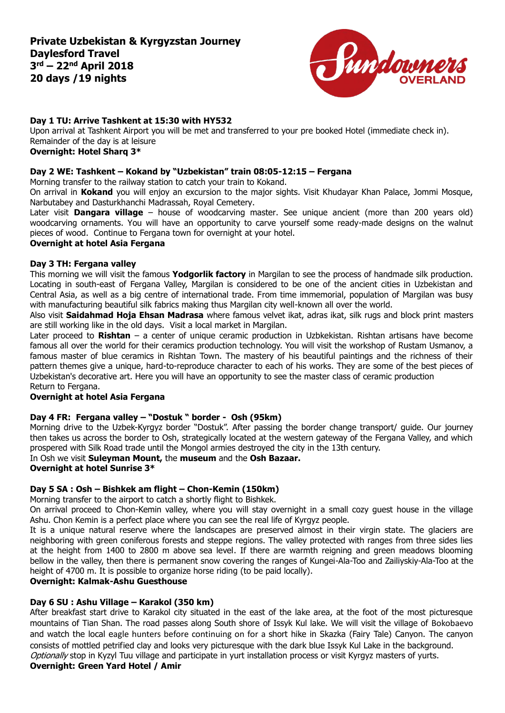

# **Day 1 TU: Arrive Tashkent at 15:30 with HY532**

Upon arrival at Tashkent Airport you will be met and transferred to your pre booked Hotel (immediate check in). Remainder of the day is at leisure **Overnight: Hotel Sharq 3\***

# **Day 2 WE: Tashkent – Kokand by "Uzbekistan" train 08:05-12:15 – Fergana**

Morning transfer to the railway station to catch your train to Kokand.

On arrival in **Kokand** you will enjoy an excursion to the major sights. Visit Khudayar Khan Palace, Jommi Mosque, Narbutabey and Dasturkhanchi Madrassah, Royal Cemetery.

Later visit **Dangara village** – house of woodcarving master. See unique ancient (more than 200 years old) woodcarving ornaments. You will have an opportunity to carve yourself some ready-made designs on the walnut pieces of wood. Continue to Fergana town for overnight at your hotel.

## **Overnight at hotel Asia Fergana**

## **Day 3 TH: Fergana valley**

This morning we will visit the famous **Yodgorlik factory** in Margilan to see the process of handmade silk production. Locating in south-east of Fergana Valley, Margilan is considered to be one of the ancient cities in Uzbekistan and Central Asia, as well as a big centre of international trade. From time immemorial, population of Margilan was busy with manufacturing beautiful silk fabrics making thus Margilan city well-known all over the world.

Also visit **Saidahmad Hoja Ehsan Madrasa** where famous velvet ikat, adras ikat, silk rugs and block print masters are still working like in the old days. Visit a local market in Margilan.

Later proceed to **Rishtan** – a center of unique ceramic production in Uzbkekistan. Rishtan artisans have become famous all over the world for their ceramics production technology. You will visit the workshop of Rustam Usmanov, a famous master of blue ceramics in Rishtan Town. The mastery of his beautiful paintings and the richness of their pattern themes give a unique, hard-to-reproduce character to each of his works. They are some of the best pieces of Uzbekistan's decorative art. Here you will have an opportunity to see the master class of ceramic production Return to Fergana.

# **Overnight at hotel Asia Fergana**

# **Day 4 FR: Fergana valley – "Dostuk " border - Osh (95km)**

Morning drive to the Uzbek-Kyrgyz border "Dostuk". After passing the border change transport/ guide. Our journey then takes us across the border to Osh, strategically located at the western gateway of the Fergana Valley, and which prospered with Silk Road trade until the Mongol armies destroyed the city in the 13th century.

# In Osh we visit **Suleyman Mount,** the **museum** and the **Osh Bazaar.**

### **Overnight at hotel Sunrise 3\***

# **Day 5 SA : Osh – Bishkek am flight – Chon-Kemin (150km)**

Morning transfer to the airport to catch a shortly flight to Bishkek.

On arrival proceed to Chon-Kemin valley, where you will stay overnight in a small cozy guest house in the village Ashu. Chon Kemin is a perfect place where you can see the real life of Kyrgyz people.

It is a unique natural reserve where the landscapes are preserved almost in their virgin state. The glaciers are neighboring with green coniferous forests and steppe regions. The valley protected with ranges from three sides lies at the height from 1400 to 2800 m above sea level. If there are warmth reigning and green meadows blooming bellow in the valley, then there is permanent snow covering the ranges of Kungei-Ala-Too and Zailiyskiy-Ala-Too at the height of 4700 m. It is possible to organize horse riding (to be paid locally).

# **Overnight: Kalmak-Ashu Guesthouse**

# **Day 6 SU : Ashu Village – Karakol (350 km)**

After breakfast start drive to Karakol city situated in the east of the lake area, at the foot of the most picturesque mountains of Tian Shan. The road passes along South shore of Issyk Kul lake. We will visit the village of Bokobaevo and watch the local eagle hunters before continuing on for a short hike in Skazka (Fairy Tale) Canyon. The canyon consists of mottled petrified clay and looks very picturesque with the dark blue Issyk Kul Lake in the background. Optionally stop in Kyzyl Tuu village and participate in yurt installation process or visit Kyrgyz masters of yurts.

# **Overnight: Green Yard Hotel / Amir**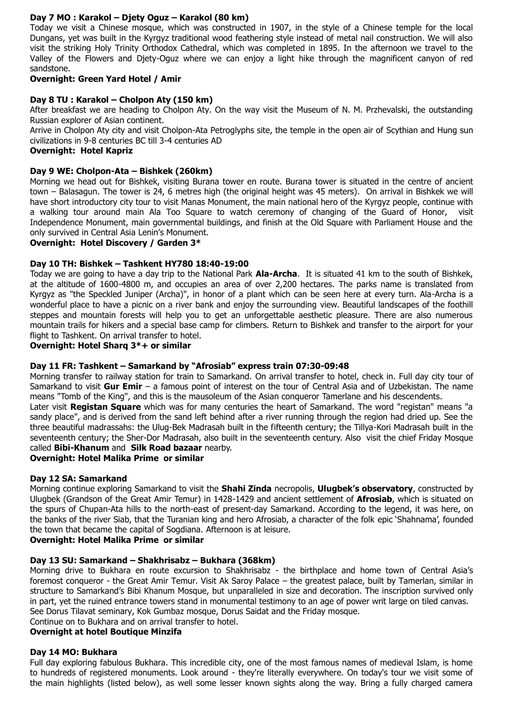# **Day 7 MO : Karakol – Djety Oguz – Karakol (80 km)**

Today we visit a Chinese mosque, which was constructed in 1907, in the style of a Chinese temple for the local Dungans, yet was built in the Kyrgyz traditional wood feathering style instead of metal nail construction. We will also visit the striking Holy Trinity Orthodox Cathedral, which was completed in 1895. In the afternoon we travel to the Valley of the Flowers and Djety-Oguz where we can enjoy a light hike through the magnificent canyon of red sandstone.

# **Overnight: Green Yard Hotel / Amir**

# **Day 8 TU : Karakol – Cholpon Aty (150 km)**

After breakfast we are heading to Cholpon Aty. On the way visit the Museum of N. M. Przhevalski, the outstanding Russian explorer of Asian continent.

Arrive in Cholpon Aty city and visit Cholpon-Ata Petroglyphs site, the temple in the open air of Scythian and Hung sun civilizations in 9-8 centuries BC till 3-4 centuries AD

### **Overnight: Hotel Kapriz**

## **Day 9 WE: Cholpon-Ata – Bishkek (260km)**

Morning we head out for Bishkek, visiting Burana tower en route. Burana tower is situated in the centre of ancient town – Balasagun. The tower is 24, 6 metres high (the original height was 45 meters). On arrival in Bishkek we will have short introductory city tour to visit Manas Monument, the main national hero of the Kyrgyz people, continue with a walking tour around main Ala Too Square to watch ceremony of changing of the Guard of Honor, visit Independence Monument, main governmental buildings, and finish at the Old Square with Parliament House and the only survived in Central Asia Lenin's Monument.

## **Overnight: Hotel Discovery / Garden 3\***

## **Day 10 TH: Bishkek – Tashkent HY780 18:40-19:00**

Today we are going to have a day trip to the National Park **Ala-Archa**. It is situated 41 km to the south of Bishkek, at the altitude of 1600-4800 m, and occupies an area of over 2,200 hectares. The parks name is translated from Kyrgyz as "the Speckled Juniper (Archa)", in honor of a plant which can be seen here at every turn. Ala-Archa is a wonderful place to have a picnic on a river bank and enjoy the surrounding view. Beautiful landscapes of the foothill steppes and mountain forests will help you to get an unforgettable aesthetic pleasure. There are also numerous mountain trails for hikers and a special base camp for climbers. Return to Bishkek and transfer to the airport for your flight to Tashkent. On arrival transfer to hotel.

## **Overnight: Hotel Sharq 3\*+ or similar**

# **Day 11 FR: Tashkent – Samarkand by "Afrosiab" express train 07:30-09:48**

Morning transfer to railway station for train to Samarkand. On arrival transfer to hotel, check in. Full day city tour of Samarkand to visit **Gur Emir** – a famous point of interest on the tour of Central Asia and of Uzbekistan. The name means "Tomb of the King", and this is the mausoleum of the Asian conqueror Tamerlane and his descendents.

Later visit **Registan Square** which was for many centuries the heart of Samarkand. The word "registan" means "a sandy place", and is derived from the sand left behind after a river running through the region had dried up. See the three beautiful madrassahs: the Ulug-Bek Madrasah built in the fifteenth century; the Tillya-Kori Madrasah built in the seventeenth century; the Sher-Dor Madrasah, also built in the seventeenth century. Also visit the chief Friday Mosque called **Bibi-Khanum** and **Silk Road bazaar** nearby.

#### **Overnight: Hotel Malika Prime or similar**

#### **Day 12 SA: Samarkand**

Morning continue exploring Samarkand to visit the **Shahi Zinda** necropolis, **Ulugbek's observatory**, constructed by Ulugbek (Grandson of the Great Amir Temur) in 1428-1429 and ancient settlement of **Afrosiab**, which is situated on the spurs of Chupan-Ata hills to the north-east of present-day Samarkand. According to the legend, it was here, on the banks of the river Siab, that the Turanian king and hero Afrosiab, a character of the folk epic 'Shahnama', founded the town that became the capital of Sogdiana. Afternoon is at leisure.

## **Overnight: Hotel Malika Prime or similar**

# **Day 13 SU: Samarkand – Shakhrisabz – Bukhara (368km)**

Morning drive to Bukhara en route excursion to Shakhrisabz - the birthplace and home town of Central Asia's foremost conqueror - the Great Amir Temur. Visit Ak Saroy Palace – the greatest palace, built by Tamerlan, similar in structure to Samarkand's Bibi Khanum Mosque, but unparalleled in size and decoration. The inscription survived only in part, yet the ruined entrance towers stand in monumental testimony to an age of power writ large on tiled canvas. See Dorus Tilavat seminary, Kok Gumbaz mosque, Dorus Saidat and the Friday mosque.

# Continue on to Bukhara and on arrival transfer to hotel.

# **Overnight at hotel Boutique Minzifa**

# **Day 14 MO: Bukhara**

Full day exploring fabulous Bukhara. This incredible city, one of the most famous names of medieval Islam, is home to hundreds of registered monuments. Look around - they're literally everywhere. On today's tour we visit some of the main highlights (listed below), as well some lesser known sights along the way. Bring a fully charged camera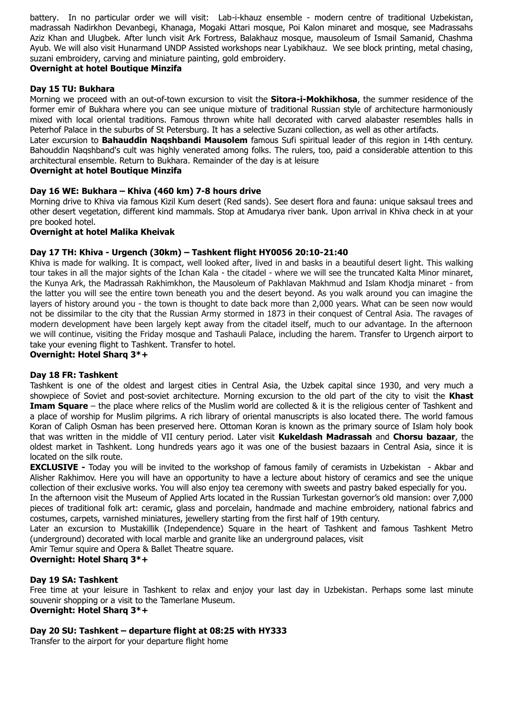battery. In no particular order we will visit: Lab-i-khauz ensemble - modern centre of traditional Uzbekistan, madrassah Nadirkhon Devanbegi, Khanaga, Mogaki Attari mosque, Poi Kalon minaret and mosque, see Madrassahs Aziz Khan and Ulugbek. After lunch visit Ark Fortress, Balakhauz mosque, mausoleum of Ismail Samanid, Chashma Ayub. We will also visit Hunarmand UNDP Assisted workshops near Lyabikhauz. We see block printing, metal chasing, suzani embroidery, carving and miniature painting, gold embroidery.

# **Overnight at hotel Boutique Minzifa**

## **Day 15 TU: Bukhara**

Morning we proceed with an out-of-town excursion to visit the **Sitora-i-Mokhikhosa**, the summer residence of the former emir of Bukhara where you can see unique mixture of traditional Russian style of architecture harmoniously mixed with local oriental traditions. Famous thrown white hall decorated with carved alabaster resembles halls in Peterhof Palace in the suburbs of St Petersburg. It has a selective Suzani collection, as well as other artifacts.

Later excursion to **Bahauddin Naqshbandi Mausolem** famous Sufi spiritual leader of this region in 14th century. Bahouddin Naqshband's cult was highly venerated among folks. The rulers, too, paid a considerable attention to this architectural ensemble. Return to Bukhara. Remainder of the day is at leisure

## **Overnight at hotel Boutique Minzifa**

## **Day 16 WE: Bukhara – Khiva (460 km) 7-8 hours drive**

Morning drive to Khiva via famous Kizil Kum desert (Red sands). See desert flora and fauna: unique saksaul trees and other desert vegetation, different kind mammals. Stop at Amudarya river bank. Upon arrival in Khiva check in at your pre booked hotel.

## **Overnight at hotel Malika Kheivak**

## **Day 17 TH: Khiva - Urgench (30km) – Tashkent flight HY0056 20:10-21:40**

Khiva is made for walking. It is compact, well looked after, lived in and basks in a beautiful desert light. This walking tour takes in all the major sights of the Ichan Kala - the citadel - where we will see the truncated Kalta Minor minaret, the Kunya Ark, the Madrassah Rakhimkhon, the Mausoleum of Pakhlavan Makhmud and Islam Khodja minaret - from the latter you will see the entire town beneath you and the desert beyond. As you walk around you can imagine the layers of history around you - the town is thought to date back more than 2,000 years. What can be seen now would not be dissimilar to the city that the Russian Army stormed in 1873 in their conquest of Central Asia. The ravages of modern development have been largely kept away from the citadel itself, much to our advantage. In the afternoon we will continue, visiting the Friday mosque and Tashauli Palace, including the harem. Transfer to Urgench airport to take your evening flight to Tashkent. Transfer to hotel.

**Overnight: Hotel Sharq 3\*+**

#### **Day 18 FR: Tashkent**

Tashkent is one of the oldest and largest cities in Central Asia, the Uzbek capital since 1930, and very much a showpiece of Soviet and post-soviet architecture. Morning excursion to the old part of the city to visit the **Khast Imam Square** – the place where relics of the Muslim world are collected & it is the religious center of Tashkent and a place of worship for Muslim pilgrims. A rich library of oriental manuscripts is also located there. The world famous Koran of Caliph Osman has been preserved here. Ottoman Koran is known as the primary source of Islam holy book that was written in the middle of VII century period. Later visit **Kukeldash Madrassah** and **Chorsu bazaar**, the oldest market in Tashkent. Long hundreds years ago it was one of the busiest bazaars in Central Asia, since it is located on the silk route.

**EXCLUSIVE -** Today you will be invited to the workshop of famous family of ceramists in Uzbekistan - Akbar and Alisher Rakhimov. Here you will have an opportunity to have a lecture about history of ceramics and see the unique collection of their exclusive works. You will also enjoy tea ceremony with sweets and pastry baked especially for you. In the afternoon visit the Museum of Applied Arts located in the Russian Turkestan governor's old mansion: over 7,000

pieces of traditional folk art: ceramic, glass and porcelain, handmade and machine embroidery, national fabrics and costumes, carpets, varnished miniatures, jewellery starting from the first half of 19th century.

Later an excursion to Mustakillik (Independence) Square in the heart of Tashkent and famous Tashkent Metro (underground) decorated with local marble and granite like an underground palaces, visit

Amir Temur squire and Opera & Ballet Theatre square.

## **Overnight: Hotel Sharq 3\*+**

# **Day 19 SA: Tashkent**

Free time at your leisure in Tashkent to relax and enjoy your last day in Uzbekistan. Perhaps some last minute souvenir shopping or a visit to the Tamerlane Museum. **Overnight: Hotel Sharq 3\*+**

# **Day 20 SU: Tashkent – departure flight at 08:25 with HY333**

Transfer to the airport for your departure flight home